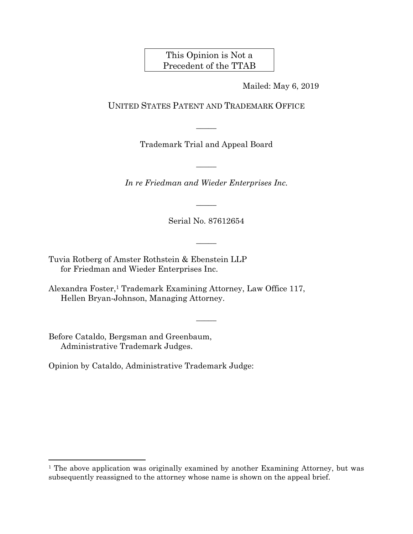This Opinion is Not a Precedent of the TTAB

Mailed: May 6, 2019

UNITED STATES PATENT AND TRADEMARK OFFICE

Trademark Trial and Appeal Board

 $\overline{\phantom{a}}$ 

 $\overline{\phantom{a}}$ 

*In re Friedman and Wieder Enterprises Inc.* 

Serial No. 87612654

 $\overline{\phantom{a}}$ 

 $\overline{\phantom{a}}$ 

 $\overline{\phantom{a}}$ 

Tuvia Rotberg of Amster Rothstein & Ebenstein LLP for Friedman and Wieder Enterprises Inc.

Alexandra Foster,1 Trademark Examining Attorney, Law Office 117, Hellen Bryan-Johnson, Managing Attorney.

Before Cataldo, Bergsman and Greenbaum, Administrative Trademark Judges.

1

Opinion by Cataldo, Administrative Trademark Judge:

<sup>&</sup>lt;sup>1</sup> The above application was originally examined by another Examining Attorney, but was subsequently reassigned to the attorney whose name is shown on the appeal brief.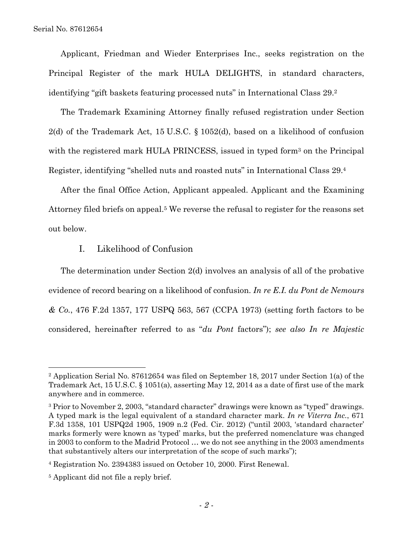Applicant, Friedman and Wieder Enterprises Inc., seeks registration on the Principal Register of the mark HULA DELIGHTS, in standard characters, identifying "gift baskets featuring processed nuts" in International Class 29.2

The Trademark Examining Attorney finally refused registration under Section 2(d) of the Trademark Act, 15 U.S.C. § 1052(d), based on a likelihood of confusion with the registered mark HULA PRINCESS, issued in typed form<sup>3</sup> on the Principal Register, identifying "shelled nuts and roasted nuts" in International Class 29.4

After the final Office Action, Applicant appealed. Applicant and the Examining Attorney filed briefs on appeal.5 We reverse the refusal to register for the reasons set out below.

## I. Likelihood of Confusion

The determination under Section 2(d) involves an analysis of all of the probative evidence of record bearing on a likelihood of confusion. *In re E.I. du Pont de Nemours & Co.*, 476 F.2d 1357, 177 USPQ 563, 567 (CCPA 1973) (setting forth factors to be considered, hereinafter referred to as "*du Pont* factors"); *see also In re Majestic* 

l

<sup>2</sup> Application Serial No. 87612654 was filed on September 18, 2017 under Section 1(a) of the Trademark Act, 15 U.S.C. § 1051(a), asserting May 12, 2014 as a date of first use of the mark anywhere and in commerce.

<sup>3</sup> Prior to November 2, 2003, "standard character" drawings were known as "typed" drawings. A typed mark is the legal equivalent of a standard character mark. *In re Viterra Inc.*, 671 F.3d 1358, 101 USPQ2d 1905, 1909 n.2 (Fed. Cir. 2012) ("until 2003, 'standard character' marks formerly were known as 'typed' marks, but the preferred nomenclature was changed in 2003 to conform to the Madrid Protocol … we do not see anything in the 2003 amendments that substantively alters our interpretation of the scope of such marks");

<sup>4</sup> Registration No. 2394383 issued on October 10, 2000. First Renewal.

<sup>5</sup> Applicant did not file a reply brief.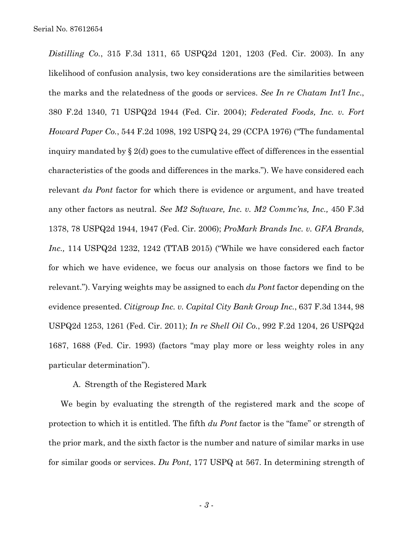*Distilling Co.*, 315 F.3d 1311, 65 USPQ2d 1201, 1203 (Fed. Cir. 2003). In any likelihood of confusion analysis, two key considerations are the similarities between the marks and the relatedness of the goods or services. *See In re Chatam Int'l Inc*., 380 F.2d 1340, 71 USPQ2d 1944 (Fed. Cir. 2004); *Federated Foods, Inc. v. Fort Howard Paper Co.*, 544 F.2d 1098, 192 USPQ 24, 29 (CCPA 1976) ("The fundamental inquiry mandated by  $\S 2(d)$  goes to the cumulative effect of differences in the essential characteristics of the goods and differences in the marks."). We have considered each relevant *du Pont* factor for which there is evidence or argument, and have treated any other factors as neutral. *See M2 Software, Inc. v. M2 Commc'ns, Inc.,* 450 F.3d 1378, 78 USPQ2d 1944, 1947 (Fed. Cir. 2006); *ProMark Brands Inc. v. GFA Brands, Inc.,* 114 USPQ2d 1232, 1242 (TTAB 2015) ("While we have considered each factor for which we have evidence, we focus our analysis on those factors we find to be relevant."). Varying weights may be assigned to each *du Pont* factor depending on the evidence presented. *Citigroup Inc. v. Capital City Bank Group Inc.*, 637 F.3d 1344, 98 USPQ2d 1253, 1261 (Fed. Cir. 2011); *In re Shell Oil Co.*, 992 F.2d 1204, 26 USPQ2d 1687, 1688 (Fed. Cir. 1993) (factors "may play more or less weighty roles in any particular determination").

## A. Strength of the Registered Mark

We begin by evaluating the strength of the registered mark and the scope of protection to which it is entitled. The fifth *du Pont* factor is the "fame" or strength of the prior mark, and the sixth factor is the number and nature of similar marks in use for similar goods or services. *Du Pont*, 177 USPQ at 567. In determining strength of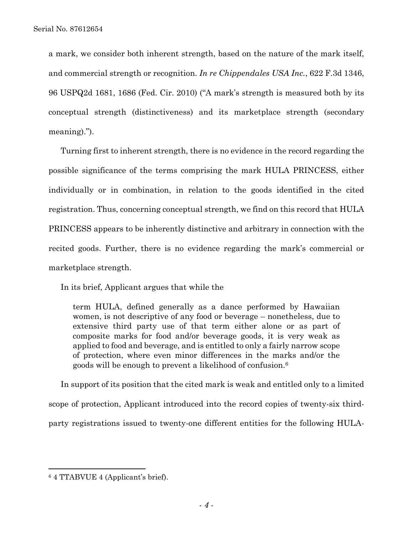a mark, we consider both inherent strength, based on the nature of the mark itself, and commercial strength or recognition. *In re Chippendales USA Inc.*, 622 F.3d 1346, 96 USPQ2d 1681, 1686 (Fed. Cir. 2010) ("A mark's strength is measured both by its conceptual strength (distinctiveness) and its marketplace strength (secondary meaning).").

Turning first to inherent strength, there is no evidence in the record regarding the possible significance of the terms comprising the mark HULA PRINCESS, either individually or in combination, in relation to the goods identified in the cited registration. Thus, concerning conceptual strength, we find on this record that HULA PRINCESS appears to be inherently distinctive and arbitrary in connection with the recited goods. Further, there is no evidence regarding the mark's commercial or marketplace strength.

In its brief, Applicant argues that while the

term HULA, defined generally as a dance performed by Hawaiian women, is not descriptive of any food or beverage – nonetheless, due to extensive third party use of that term either alone or as part of composite marks for food and/or beverage goods, it is very weak as applied to food and beverage, and is entitled to only a fairly narrow scope of protection, where even minor differences in the marks and/or the goods will be enough to prevent a likelihood of confusion.6

In support of its position that the cited mark is weak and entitled only to a limited scope of protection, Applicant introduced into the record copies of twenty-six thirdparty registrations issued to twenty-one different entities for the following HULA-

 $\overline{a}$ 

<sup>6 4</sup> TTABVUE 4 (Applicant's brief).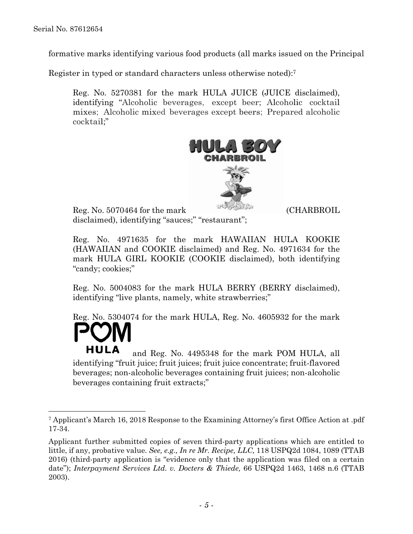l

formative marks identifying various food products (all marks issued on the Principal

Register in typed or standard characters unless otherwise noted):7

Reg. No. 5270381 for the mark HULA JUICE (JUICE disclaimed), identifying "Alcoholic beverages, except beer; Alcoholic cocktail mixes; Alcoholic mixed beverages except beers; Prepared alcoholic cocktail;"



Reg. No. 5070464 for the mark (CHARBROIL disclaimed), identifying "sauces;" "restaurant";

Reg. No. 4971635 for the mark HAWAIIAN HULA KOOKIE (HAWAIIAN and COOKIE disclaimed) and Reg. No. 4971634 for the mark HULA GIRL KOOKIE (COOKIE disclaimed), both identifying "candy; cookies;"

Reg. No. 5004083 for the mark HULA BERRY (BERRY disclaimed), identifying "live plants, namely, white strawberries;"

Reg. No. 5304074 for the mark HULA, Reg. No. 4605932 for the mark

and Reg. No. 4495348 for the mark POM HULA, all identifying "fruit juice; fruit juices; fruit juice concentrate; fruit-flavored beverages; non-alcoholic beverages containing fruit juices; non-alcoholic beverages containing fruit extracts;"

<sup>7</sup> Applicant's March 16, 2018 Response to the Examining Attorney's first Office Action at .pdf 17-34.

Applicant further submitted copies of seven third-party applications which are entitled to little, if any, probative value. *See, e.g., In re Mr. Recipe, LLC,* 118 USPQ2d 1084, 1089 (TTAB 2016) (third-party application is "evidence only that the application was filed on a certain date"); *Interpayment Services Ltd. v. Docters & Thiede,* 66 USPQ2d 1463, 1468 n.6 (TTAB 2003).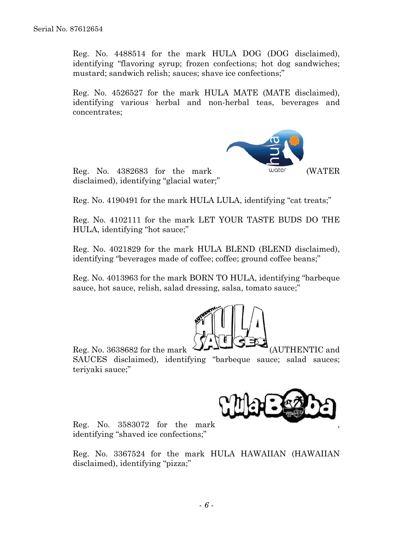Reg. No. 4488514 for the mark HULA DOG (DOG disclaimed), identifying "flavoring syrup; frozen confections; hot dog sandwiches; mustard; sandwich relish; sauces; shave ice confections;"

Reg. No. 4526527 for the mark HULA MATE (MATE disclaimed), identifying various herbal and non-herbal teas, beverages and concentrates;



Reg. No. 4382683 for the mark (WATER disclaimed), identifying "glacial water;"

Reg. No. 4190491 for the mark HULA LULA, identifying "cat treats;"

Reg. No. 4102111 for the mark LET YOUR TASTE BUDS DO THE HULA, identifying "hot sauce;"

Reg. No. 4021829 for the mark HULA BLEND (BLEND disclaimed), identifying "beverages made of coffee; coffee; ground coffee beans;"

Reg. No. 4013963 for the mark BORN TO HULA, identifying "barbeque sauce, hot sauce, relish, salad dressing, salsa, tomato sauce;"



Reg. No. 3638682 for the mark  $\overline{\phantom{a}}$   $\overline{\phantom{a}}$  (AUTHENTIC and SAUCES disclaimed), identifying "barbeque sauce; salad sauces; teriyaki sauce;"



Reg. No. 3583072 for the mark , identifying "shaved ice confections;"

Reg. No. 3367524 for the mark HULA HAWAIIAN (HAWAIIAN disclaimed), identifying "pizza;"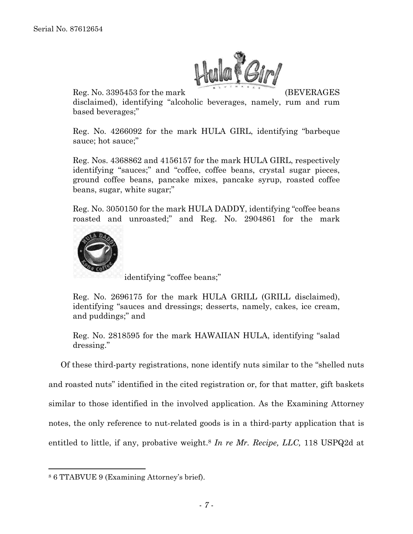

Reg. No. 3395453 for the mark (BEVERAGES

disclaimed), identifying "alcoholic beverages, namely, rum and rum based beverages;"

Reg. No. 4266092 for the mark HULA GIRL, identifying "barbeque sauce; hot sauce;"

Reg. Nos. 4368862 and 4156157 for the mark HULA GIRL, respectively identifying "sauces;" and "coffee, coffee beans, crystal sugar pieces, ground coffee beans, pancake mixes, pancake syrup, roasted coffee beans, sugar, white sugar;"

Reg. No. 3050150 for the mark HULA DADDY, identifying "coffee beans roasted and unroasted;" and Reg. No. 2904861 for the mark



identifying "coffee beans;"

Reg. No. 2696175 for the mark HULA GRILL (GRILL disclaimed), identifying "sauces and dressings; desserts, namely, cakes, ice cream, and puddings;" and

Reg. No. 2818595 for the mark HAWAIIAN HULA, identifying "salad dressing."

Of these third-party registrations, none identify nuts similar to the "shelled nuts and roasted nuts" identified in the cited registration or, for that matter, gift baskets similar to those identified in the involved application. As the Examining Attorney notes, the only reference to nut-related goods is in a third-party application that is entitled to little, if any, probative weight.8 *In re Mr. Recipe, LLC,* 118 USPQ2d at

1

<sup>8 6</sup> TTABVUE 9 (Examining Attorney's brief).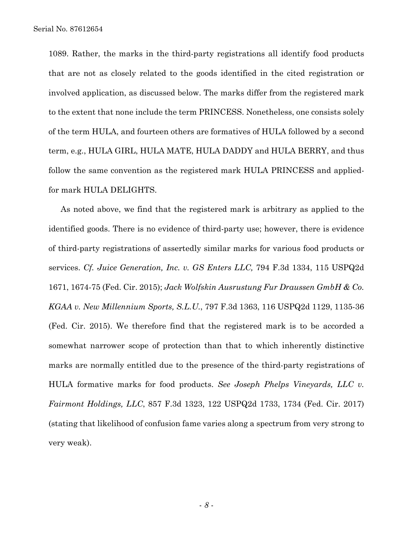1089. Rather, the marks in the third-party registrations all identify food products that are not as closely related to the goods identified in the cited registration or involved application, as discussed below. The marks differ from the registered mark to the extent that none include the term PRINCESS. Nonetheless, one consists solely of the term HULA, and fourteen others are formatives of HULA followed by a second term, e.g., HULA GIRL, HULA MATE, HULA DADDY and HULA BERRY, and thus follow the same convention as the registered mark HULA PRINCESS and appliedfor mark HULA DELIGHTS.

As noted above, we find that the registered mark is arbitrary as applied to the identified goods. There is no evidence of third-party use; however, there is evidence of third-party registrations of assertedly similar marks for various food products or services. *Cf. Juice Generation, Inc. v. GS Enters LLC,* 794 F.3d 1334, 115 USPQ2d 1671, 1674-75 (Fed. Cir. 2015); *Jack Wolfskin Ausrustung Fur Draussen GmbH & Co. KGAA v. New Millennium Sports, S.L.U.*, 797 F.3d 1363, 116 USPQ2d 1129, 1135-36 (Fed. Cir. 2015). We therefore find that the registered mark is to be accorded a somewhat narrower scope of protection than that to which inherently distinctive marks are normally entitled due to the presence of the third-party registrations of HULA formative marks for food products. *See Joseph Phelps Vineyards, LLC v. Fairmont Holdings, LLC*, 857 F.3d 1323, 122 USPQ2d 1733, 1734 (Fed. Cir. 2017) (stating that likelihood of confusion fame varies along a spectrum from very strong to very weak).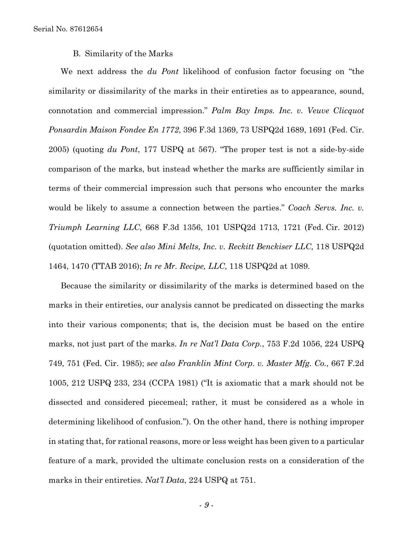B. Similarity of the Marks

We next address the *du Pont* likelihood of confusion factor focusing on "the similarity or dissimilarity of the marks in their entireties as to appearance, sound, connotation and commercial impression." *Palm Bay Imps. Inc. v. Veuve Clicquot Ponsardin Maison Fondee En 1772*, 396 F.3d 1369, 73 USPQ2d 1689, 1691 (Fed. Cir. 2005) (quoting *du Pont*, 177 USPQ at 567). "The proper test is not a side-by-side comparison of the marks, but instead whether the marks are sufficiently similar in terms of their commercial impression such that persons who encounter the marks would be likely to assume a connection between the parties." *Coach Servs. Inc. v. Triumph Learning LLC*, 668 F.3d 1356, 101 USPQ2d 1713, 1721 (Fed. Cir. 2012) (quotation omitted). *See also Mini Melts, Inc. v. Reckitt Benckiser LLC,* 118 USPQ2d 1464, 1470 (TTAB 2016); *In re Mr. Recipe, LLC*, 118 USPQ2d at 1089.

Because the similarity or dissimilarity of the marks is determined based on the marks in their entireties, our analysis cannot be predicated on dissecting the marks into their various components; that is, the decision must be based on the entire marks, not just part of the marks. *In re Nat'l Data Corp.*, 753 F.2d 1056, 224 USPQ 749, 751 (Fed. Cir. 1985); *see also Franklin Mint Corp. v. Master Mfg. Co.*, 667 F.2d 1005, 212 USPQ 233, 234 (CCPA 1981) ("It is axiomatic that a mark should not be dissected and considered piecemeal; rather, it must be considered as a whole in determining likelihood of confusion."). On the other hand, there is nothing improper in stating that, for rational reasons, more or less weight has been given to a particular feature of a mark, provided the ultimate conclusion rests on a consideration of the marks in their entireties. *Nat'l Data*, 224 USPQ at 751.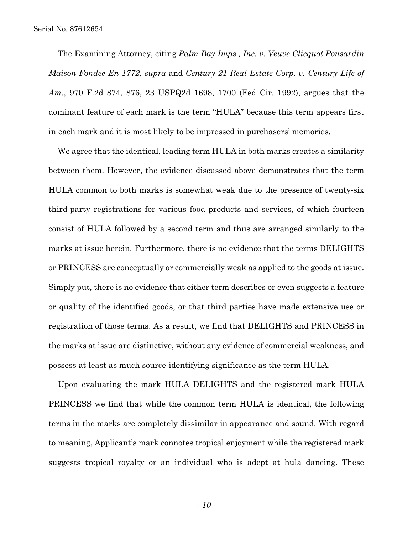The Examining Attorney, citing *Palm Bay Imps., Inc. v. Veuve Clicquot Ponsardin Maison Fondee En 1772*, *supra* and *Century 21 Real Estate Corp. v. Century Life of Am.*, 970 F.2d 874, 876, 23 USPQ2d 1698, 1700 (Fed Cir. 1992), argues that the dominant feature of each mark is the term "HULA" because this term appears first in each mark and it is most likely to be impressed in purchasers' memories.

We agree that the identical, leading term HULA in both marks creates a similarity between them. However, the evidence discussed above demonstrates that the term HULA common to both marks is somewhat weak due to the presence of twenty-six third-party registrations for various food products and services, of which fourteen consist of HULA followed by a second term and thus are arranged similarly to the marks at issue herein. Furthermore, there is no evidence that the terms DELIGHTS or PRINCESS are conceptually or commercially weak as applied to the goods at issue. Simply put, there is no evidence that either term describes or even suggests a feature or quality of the identified goods, or that third parties have made extensive use or registration of those terms. As a result, we find that DELIGHTS and PRINCESS in the marks at issue are distinctive, without any evidence of commercial weakness, and possess at least as much source-identifying significance as the term HULA.

Upon evaluating the mark HULA DELIGHTS and the registered mark HULA PRINCESS we find that while the common term HULA is identical, the following terms in the marks are completely dissimilar in appearance and sound. With regard to meaning, Applicant's mark connotes tropical enjoyment while the registered mark suggests tropical royalty or an individual who is adept at hula dancing. These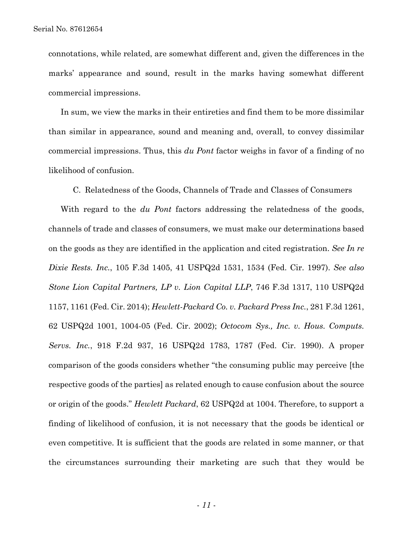connotations, while related, are somewhat different and, given the differences in the marks' appearance and sound, result in the marks having somewhat different commercial impressions.

In sum, we view the marks in their entireties and find them to be more dissimilar than similar in appearance, sound and meaning and, overall, to convey dissimilar commercial impressions. Thus, this *du Pont* factor weighs in favor of a finding of no likelihood of confusion.

C. Relatedness of the Goods, Channels of Trade and Classes of Consumers

With regard to the *du Pont* factors addressing the relatedness of the goods, channels of trade and classes of consumers, we must make our determinations based on the goods as they are identified in the application and cited registration. *See In re Dixie Rests. Inc.*, 105 F.3d 1405, 41 USPQ2d 1531, 1534 (Fed. Cir. 1997). *See also Stone Lion Capital Partners, LP v. Lion Capital LLP*, 746 F.3d 1317, 110 USPQ2d 1157, 1161 (Fed. Cir. 2014); *Hewlett-Packard Co. v. Packard Press Inc.*, 281 F.3d 1261, 62 USPQ2d 1001, 1004-05 (Fed. Cir. 2002); *Octocom Sys., Inc. v. Hous. Computs. Servs. Inc.*, 918 F.2d 937, 16 USPQ2d 1783, 1787 (Fed. Cir. 1990). A proper comparison of the goods considers whether "the consuming public may perceive [the respective goods of the parties] as related enough to cause confusion about the source or origin of the goods." *Hewlett Packard*, 62 USPQ2d at 1004. Therefore, to support a finding of likelihood of confusion, it is not necessary that the goods be identical or even competitive. It is sufficient that the goods are related in some manner, or that the circumstances surrounding their marketing are such that they would be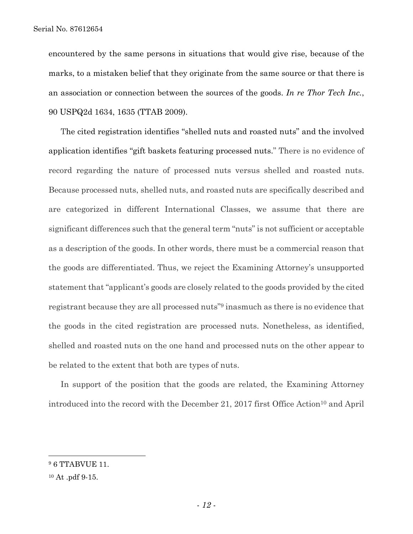Serial No. 87612654

encountered by the same persons in situations that would give rise, because of the marks, to a mistaken belief that they originate from the same source or that there is an association or connection between the sources of the goods. *In re Thor Tech Inc.*, 90 USPQ2d 1634, 1635 (TTAB 2009).

The cited registration identifies "shelled nuts and roasted nuts" and the involved application identifies "gift baskets featuring processed nuts." There is no evidence of record regarding the nature of processed nuts versus shelled and roasted nuts. Because processed nuts, shelled nuts, and roasted nuts are specifically described and are categorized in different International Classes, we assume that there are significant differences such that the general term "nuts" is not sufficient or acceptable as a description of the goods. In other words, there must be a commercial reason that the goods are differentiated. Thus, we reject the Examining Attorney's unsupported statement that "applicant's goods are closely related to the goods provided by the cited registrant because they are all processed nuts"9 inasmuch as there is no evidence that the goods in the cited registration are processed nuts. Nonetheless, as identified, shelled and roasted nuts on the one hand and processed nuts on the other appear to be related to the extent that both are types of nuts.

In support of the position that the goods are related, the Examining Attorney introduced into the record with the December 21, 2017 first Office Action<sup>10</sup> and April

 $\overline{a}$ 

<sup>&</sup>lt;sup>9</sup> 6 TTABVUE 11.

<sup>10</sup> At .pdf 9-15.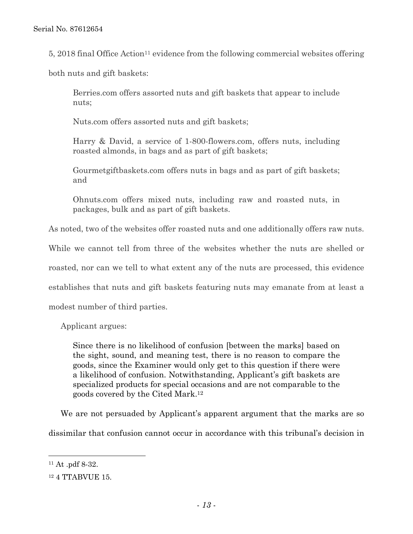5, 2018 final Office Action<sup>11</sup> evidence from the following commercial websites offering

both nuts and gift baskets:

Berries.com offers assorted nuts and gift baskets that appear to include nuts;

Nuts.com offers assorted nuts and gift baskets;

Harry & David, a service of 1-800-flowers.com, offers nuts, including roasted almonds, in bags and as part of gift baskets;

Gourmetgiftbaskets.com offers nuts in bags and as part of gift baskets; and

Ohnuts.com offers mixed nuts, including raw and roasted nuts, in packages, bulk and as part of gift baskets.

As noted, two of the websites offer roasted nuts and one additionally offers raw nuts.

While we cannot tell from three of the websites whether the nuts are shelled or

roasted, nor can we tell to what extent any of the nuts are processed, this evidence

establishes that nuts and gift baskets featuring nuts may emanate from at least a

modest number of third parties.

Applicant argues:

Since there is no likelihood of confusion [between the marks] based on the sight, sound, and meaning test, there is no reason to compare the goods, since the Examiner would only get to this question if there were a likelihood of confusion. Notwithstanding, Applicant's gift baskets are specialized products for special occasions and are not comparable to the goods covered by the Cited Mark.12

We are not persuaded by Applicant's apparent argument that the marks are so dissimilar that confusion cannot occur in accordance with this tribunal's decision in

1

<sup>11</sup> At .pdf 8-32.

<sup>12 4</sup> TTABVUE 15.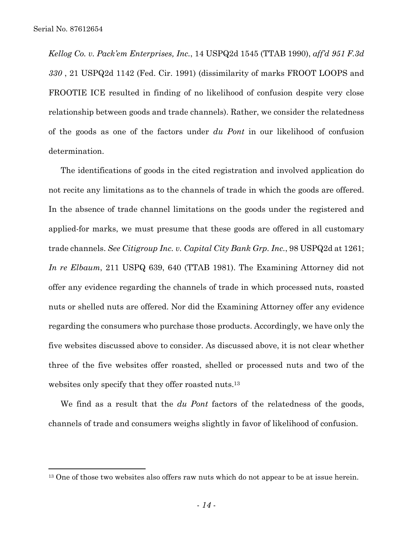$\overline{a}$ 

*Kellog Co. v. Pack'em Enterprises, Inc.*, 14 USPQ2d 1545 (TTAB 1990), *aff'd 951 F.3d 330* , 21 USPQ2d 1142 (Fed. Cir. 1991) (dissimilarity of marks FROOT LOOPS and FROOTIE ICE resulted in finding of no likelihood of confusion despite very close relationship between goods and trade channels). Rather, we consider the relatedness of the goods as one of the factors under *du Pont* in our likelihood of confusion determination.

The identifications of goods in the cited registration and involved application do not recite any limitations as to the channels of trade in which the goods are offered. In the absence of trade channel limitations on the goods under the registered and applied-for marks, we must presume that these goods are offered in all customary trade channels. *See Citigroup Inc. v. Capital City Bank Grp. Inc.*, 98 USPQ2d at 1261; *In re Elbaum*, 211 USPQ 639, 640 (TTAB 1981). The Examining Attorney did not offer any evidence regarding the channels of trade in which processed nuts, roasted nuts or shelled nuts are offered. Nor did the Examining Attorney offer any evidence regarding the consumers who purchase those products. Accordingly, we have only the five websites discussed above to consider. As discussed above, it is not clear whether three of the five websites offer roasted, shelled or processed nuts and two of the websites only specify that they offer roasted nuts.13

We find as a result that the *du Pont* factors of the relatedness of the goods, channels of trade and consumers weighs slightly in favor of likelihood of confusion.

<sup>&</sup>lt;sup>13</sup> One of those two websites also offers raw nuts which do not appear to be at issue herein.